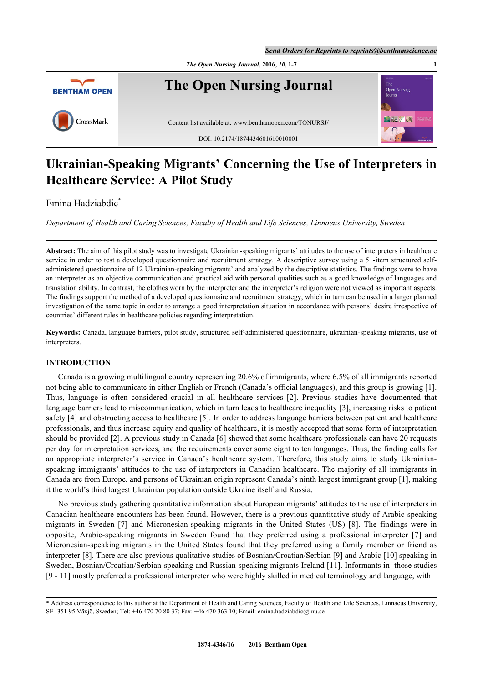



# **Ukrainian-Speaking Migrants' Concerning the Use of Interpreters in Healthcare Service: A Pilot Study**

Emina Hadziabdic<sup>[\\*](#page-0-0)</sup>

*Department of Health and Caring Sciences, Faculty of Health and Life Sciences, Linnaeus University, Sweden*

**Abstract:** The aim of this pilot study was to investigate Ukrainian-speaking migrants' attitudes to the use of interpreters in healthcare service in order to test a developed questionnaire and recruitment strategy. A descriptive survey using a 51-item structured selfadministered questionnaire of 12 Ukrainian-speaking migrants' and analyzed by the descriptive statistics. The findings were to have an interpreter as an objective communication and practical aid with personal qualities such as a good knowledge of languages and translation ability. In contrast, the clothes worn by the interpreter and the interpreter's religion were not viewed as important aspects. The findings support the method of a developed questionnaire and recruitment strategy, which in turn can be used in a larger planned investigation of the same topic in order to arrange a good interpretation situation in accordance with persons' desire irrespective of countries' different rules in healthcare policies regarding interpretation.

**Keywords:** Canada, language barriers, pilot study, structured self-administered questionnaire, ukrainian-speaking migrants, use of interpreters.

## **INTRODUCTION**

Canada is a growing multilingual country representing 20.6% of immigrants, where 6.5% of all immigrants reported not being able to communicate in either English or French (Canada's official languages), and this group is growing [[1\]](#page-5-0). Thus, language is often considered crucial in all healthcare services[[2](#page-5-1)]. Previous studies have documented that language barriers lead to miscommunication, which in turn leads to healthcare inequality [[3\]](#page-5-2), increasing risks to patient safety [[4\]](#page-5-3) and obstructing access to healthcare [\[5](#page-5-4)]. In order to address language barriers between patient and healthcare professionals, and thus increase equity and quality of healthcare, it is mostly accepted that some form of interpretation should be provided [[2\]](#page-5-1). A previous study in Canada [\[6\]](#page-5-5) showed that some healthcare professionals can have 20 requests per day for interpretation services, and the requirements cover some eight to ten languages. Thus, the finding calls for an appropriate interpreter's service in Canada's healthcare system. Therefore, this study aims to study Ukrainianspeaking immigrants' attitudes to the use of interpreters in Canadian healthcare. The majority of all immigrants in Canada are from Europe, and persons of Ukrainian origin represent Canada's ninth largest immigrant group [\[1](#page-5-0)], making it the world's third largest Ukrainian population outside Ukraine itself and Russia.

No previous study gathering quantitative information about European migrants' attitudes to the use of interpreters in Canadian healthcare encounters has been found. However, there is a previous quantitative study of Arabic-speaking migrants in Sweden[[7](#page-5-6)] and Micronesian-speaking migrants in the United States (US) [\[8](#page-5-7)]. The findings were in opposite, Arabic-speaking migrants in Sweden found that they preferred using a professional interpreter[[7](#page-5-6)] and Micronesian-speaking migrants in the United States found that they preferred using a family member or friend as interpreter [[8\]](#page-5-7). There are also previous qualitative studies of Bosnian/Croatian/Serbian [[9](#page-5-8)] and Arabic [[10](#page-5-9)] speaking in Sweden, Bosnian/Croatian/Serbian-speaking and Russian-speaking migrants Ireland [\[11](#page-5-10)]. Informants in those studies [\[9](#page-5-8) - [11](#page-5-10)] mostly preferred a professional interpreter who were highly skilled in medical terminology and language, with

<span id="page-0-0"></span><sup>\*</sup> Address correspondence to this author at the Department of Health and Caring Sciences, Faculty of Health and Life Sciences, Linnaeus University, SE- 351 95 Växjö, Sweden; Tel: +46 470 70 80 37; Fax: +46 470 363 10; Email: [emina.hadziabdic@lnu.se](mailto:emina.hadziabdic@lnu.se)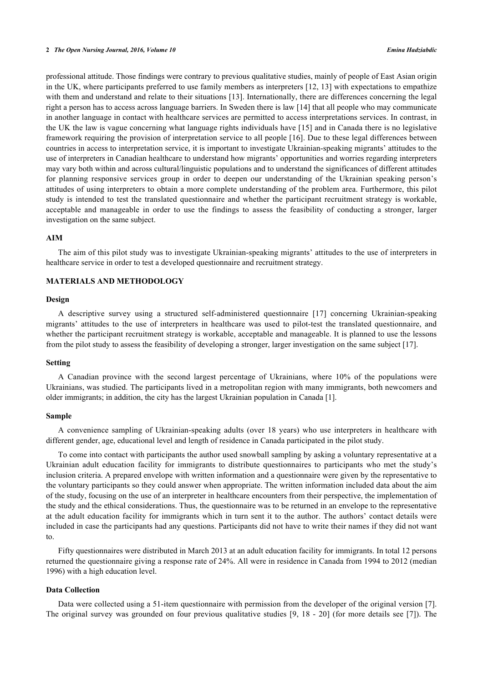#### **2** *The Open Nursing Journal, 2016, Volume 10 Emina Hadziabdic*

professional attitude. Those findings were contrary to previous qualitative studies, mainly of people of East Asian origin in the UK, where participants preferred to use family members as interpreters [\[12](#page-5-11), [13\]](#page-6-0) with expectations to empathize with them and understand and relate to their situations [\[13\]](#page-6-0). Internationally, there are differences concerning the legal right a person has to access across language barriers. In Sweden there is law [\[14](#page-6-1)] that all people who may communicate in another language in contact with healthcare services are permitted to access interpretations services. In contrast, in the UK the law is vague concerning what language rights individuals have [\[15\]](#page-6-2) and in Canada there is no legislative framework requiring the provision of interpretation service to all people [[16](#page-6-3)]. Due to these legal differences between countries in access to interpretation service, it is important to investigate Ukrainian-speaking migrants' attitudes to the use of interpreters in Canadian healthcare to understand how migrants' opportunities and worries regarding interpreters may vary both within and across cultural/linguistic populations and to understand the significances of different attitudes for planning responsive services group in order to deepen our understanding of the Ukrainian speaking person's attitudes of using interpreters to obtain a more complete understanding of the problem area. Furthermore, this pilot study is intended to test the translated questionnaire and whether the participant recruitment strategy is workable, acceptable and manageable in order to use the findings to assess the feasibility of conducting a stronger, larger investigation on the same subject.

#### **AIM**

The aim of this pilot study was to investigate Ukrainian-speaking migrants' attitudes to the use of interpreters in healthcare service in order to test a developed questionnaire and recruitment strategy.

## **MATERIALS AND METHODOLOGY**

#### **Design**

A descriptive survey using a structured self-administered questionnaire[[17](#page-6-4)] concerning Ukrainian-speaking migrants' attitudes to the use of interpreters in healthcare was used to pilot-test the translated questionnaire, and whether the participant recruitment strategy is workable, acceptable and manageable. It is planned to use the lessons from the pilot study to assess the feasibility of developing a stronger, larger investigation on the same subject [[17\]](#page-6-4).

#### **Setting**

A Canadian province with the second largest percentage of Ukrainians, where 10% of the populations were Ukrainians, was studied. The participants lived in a metropolitan region with many immigrants, both newcomers and older immigrants; in addition, the city has the largest Ukrainian population in Canada [\[1](#page-5-0)].

#### **Sample**

A convenience sampling of Ukrainian-speaking adults (over 18 years) who use interpreters in healthcare with different gender, age, educational level and length of residence in Canada participated in the pilot study.

To come into contact with participants the author used snowball sampling by asking a voluntary representative at a Ukrainian adult education facility for immigrants to distribute questionnaires to participants who met the study's inclusion criteria. A prepared envelope with written information and a questionnaire were given by the representative to the voluntary participants so they could answer when appropriate. The written information included data about the aim of the study, focusing on the use of an interpreter in healthcare encounters from their perspective, the implementation of the study and the ethical considerations. Thus, the questionnaire was to be returned in an envelope to the representative at the adult education facility for immigrants which in turn sent it to the author. The authors' contact details were included in case the participants had any questions. Participants did not have to write their names if they did not want to.

Fifty questionnaires were distributed in March 2013 at an adult education facility for immigrants. In total 12 persons returned the questionnaire giving a response rate of 24%. All were in residence in Canada from 1994 to 2012 (median 1996) with a high education level.

## **Data Collection**

Data were collected using a 51-item questionnaire with permission from the developer of the original version [[7\]](#page-5-6). The original survey was grounded on four previous qualitative studies [[9,](#page-5-8) [18](#page-6-5) - [20](#page-6-6)] (for more details see [[7\]](#page-5-6)). The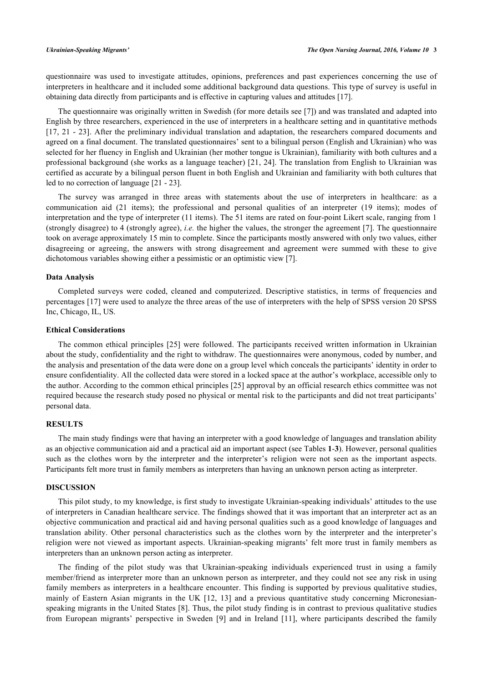questionnaire was used to investigate attitudes, opinions, preferences and past experiences concerning the use of interpreters in healthcare and it included some additional background data questions. This type of survey is useful in obtaining data directly from participants and is effective in capturing values and attitudes [\[17](#page-6-4)].

The questionnaire was originally written in Swedish (for more details see [\[7](#page-5-6)]) and was translated and adapted into English by three researchers, experienced in the use of interpreters in a healthcare setting and in quantitative methods [\[17](#page-6-4), [21](#page-6-7) - [23](#page-6-8)]. After the preliminary individual translation and adaptation, the researchers compared documents and agreed on a final document. The translated questionnaires' sent to a bilingual person (English and Ukrainian) who was selected for her fluency in English and Ukrainian (her mother tongue is Ukrainian), familiarity with both cultures and a professional background (she works as a language teacher) [[21](#page-6-7), [24](#page-6-9)]. The translation from English to Ukrainian was certified as accurate by a bilingual person fluent in both English and Ukrainian and familiarity with both cultures that led to no correction of language [[21](#page-6-7) - [23](#page-6-8)].

The survey was arranged in three areas with statements about the use of interpreters in healthcare: as a communication aid (21 items); the professional and personal qualities of an interpreter (19 items); modes of interpretation and the type of interpreter (11 items). The 51 items are rated on four-point Likert scale, ranging from 1 (strongly disagree) to 4 (strongly agree), *i.e.* the higher the values, the stronger the agreement [[7\]](#page-5-6). The questionnaire took on average approximately 15 min to complete. Since the participants mostly answered with only two values, either disagreeing or agreeing, the answers with strong disagreement and agreement were summed with these to give dichotomous variables showing either a pessimistic or an optimistic view [[7\]](#page-5-6).

#### **Data Analysis**

Completed surveys were coded, cleaned and computerized. Descriptive statistics, in terms of frequencies and percentages [[17\]](#page-6-4) were used to analyze the three areas of the use of interpreters with the help of SPSS version 20 SPSS Inc, Chicago, IL, US.

#### **Ethical Considerations**

The common ethical principles [[25](#page-6-10)] were followed. The participants received written information in Ukrainian about the study, confidentiality and the right to withdraw. The questionnaires were anonymous, coded by number, and the analysis and presentation of the data were done on a group level which conceals the participants' identity in order to ensure confidentiality. All the collected data were stored in a locked space at the author's workplace, accessible only to the author. According to the common ethical principles [[25\]](#page-6-10) approval by an official research ethics committee was not required because the research study posed no physical or mental risk to the participants and did not treat participants' personal data.

## **RESULTS**

The main study findings were that having an interpreter with a good knowledge of languages and translation ability as an objective communication aid and a practical aid an important aspect (see Tables **[1](#page-3-0)**-**[3](#page-4-0)**). However, personal qualities such as the clothes worn by the interpreter and the interpreter's religion were not seen as the important aspects. Participants felt more trust in family members as interpreters than having an unknown person acting as interpreter.

## **DISCUSSION**

This pilot study, to my knowledge, is first study to investigate Ukrainian-speaking individuals' attitudes to the use of interpreters in Canadian healthcare service. The findings showed that it was important that an interpreter act as an objective communication and practical aid and having personal qualities such as a good knowledge of languages and translation ability. Other personal characteristics such as the clothes worn by the interpreter and the interpreter's religion were not viewed as important aspects. Ukrainian-speaking migrants' felt more trust in family members as interpreters than an unknown person acting as interpreter.

The finding of the pilot study was that Ukrainian-speaking individuals experienced trust in using a family member/friend as interpreter more than an unknown person as interpreter, and they could not see any risk in using family members as interpreters in a healthcare encounter. This finding is supported by previous qualitative studies, mainly of Eastern Asian migrants in the UK[[12](#page-5-11), [13\]](#page-6-0) and a previous quantitative study concerning Micronesianspeaking migrants in the United States [[8](#page-5-7)]. Thus, the pilot study finding is in contrast to previous qualitative studies from European migrants' perspective in Sweden[[9](#page-5-8)] and in Ireland [\[11\]](#page-5-10), where participants described the family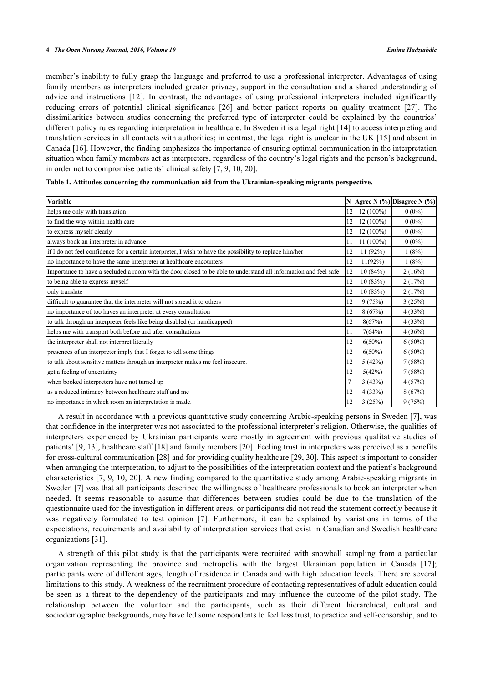member's inability to fully grasp the language and preferred to use a professional interpreter. Advantages of using family members as interpreters included greater privacy, support in the consultation and a shared understanding of advice and instructions[[12\]](#page-5-11). In contrast, the advantages of using professional interpreters included significantly reducing errors of potential clinical significance [\[26\]](#page-6-11) and better patient reports on quality treatment[[27\]](#page-6-12). The dissimilarities between studies concerning the preferred type of interpreter could be explained by the countries' different policy rules regarding interpretation in healthcare. In Sweden it is a legal right [[14\]](#page-6-1) to access interpreting and translation services in all contacts with authorities; in contrast, the legal right is unclear in the UK [[15\]](#page-6-2) and absent in Canada [[16\]](#page-6-3). However, the finding emphasizes the importance of ensuring optimal communication in the interpretation situation when family members act as interpreters, regardless of the country's legal rights and the person's background, in order not to compromise patients' clinical safety [[7,](#page-5-6) [9,](#page-5-8) [10,](#page-5-9) [20\]](#page-6-6).

| Variable                                                                                                         |                |             | N   Agree N $(\%)$ Disagree N $(\%)$ |
|------------------------------------------------------------------------------------------------------------------|----------------|-------------|--------------------------------------|
| helps me only with translation                                                                                   | 12             | $12(100\%)$ | $0(0\%)$                             |
| to find the way within health care                                                                               | 12             | $12(100\%)$ | $0(0\%)$                             |
| to express myself clearly                                                                                        | 12             | $12(100\%)$ | $0(0\%)$                             |
| always book an interpreter in advance                                                                            | 11             | $11(100\%)$ | $0(0\%)$                             |
| if I do not feel confidence for a certain interpreter, I wish to have the possibility to replace him/her         | 12             | 11(92%)     | 1(8%)                                |
| no importance to have the same interpreter at healthcare encounters                                              | 12             | 11(92%)     | 1(8%)                                |
| Importance to have a secluded a room with the door closed to be able to understand all information and feel safe | 12             | 10(84%)     | 2(16%)                               |
| to being able to express myself                                                                                  | 12             | 10(83%)     | 2(17%)                               |
| only translate                                                                                                   | 12             | 10(83%)     | 2(17%)                               |
| difficult to guarantee that the interpreter will not spread it to others                                         | 12             | 9(75%)      | 3(25%)                               |
| no importance of too haves an interpreter at every consultation                                                  | 12             | 8(67%)      | 4(33%)                               |
| to talk through an interpreter feels like being disabled (or handicapped)                                        | 12             | 8(67%)      | 4(33%)                               |
| helps me with transport both before and after consultations                                                      | 11             | 7(64%)      | 4(36%)                               |
| the interpreter shall not interpret literally                                                                    | 12             | $6(50\%)$   | $6(50\%)$                            |
| presences of an interpreter imply that I forget to tell some things                                              | 12             | $6(50\%)$   | $6(50\%)$                            |
| to talk about sensitive matters through an interpreter makes me feel insecure.                                   | 12             | 5(42%)      | 7(58%)                               |
| get a feeling of uncertainty                                                                                     | 12             | 5(42%)      | 7(58%)                               |
| when booked interpreters have not turned up                                                                      | $\overline{7}$ | 3(43%)      | 4(57%)                               |
| as a reduced intimacy between healthcare staff and me                                                            | 12             | 4(33%)      | 8(67%)                               |
| no importance in which room an interpretation is made.                                                           | 12             | 3(25%)      | 9(75%)                               |

<span id="page-3-0"></span>**Table 1. Attitudes concerning the communication aid from the Ukrainian-speaking migrants perspective.**

A result in accordance with a previous quantitative study concerning Arabic-speaking persons in Sweden [[7](#page-5-6)], was that confidence in the interpreter was not associated to the professional interpreter's religion. Otherwise, the qualities of interpreters experienced by Ukrainian participants were mostly in agreement with previous qualitative studies of patients' [\[9](#page-5-8), [13](#page-6-0)], healthcare staff [[18\]](#page-6-5) and family members [\[20](#page-6-6)]. Feeling trust in interpreters was perceived as a benefits for cross-cultural communication [\[28](#page-6-13)] and for providing quality healthcare [\[29](#page-6-14), [30](#page-6-15)]. This aspect is important to consider when arranging the interpretation, to adjust to the possibilities of the interpretation context and the patient's background characteristics [[7](#page-5-6), [9](#page-5-8), [10](#page-5-9), [20](#page-6-6)]. A new finding compared to the quantitative study among Arabic-speaking migrants in Sweden [[7](#page-5-6)] was that all participants described the willingness of healthcare professionals to book an interpreter when needed. It seems reasonable to assume that differences between studies could be due to the translation of the questionnaire used for the investigation in different areas, or participants did not read the statement correctly because it was negatively formulated to test opinion[[7](#page-5-6)]. Furthermore, it can be explained by variations in terms of the expectations, requirements and availability of interpretation services that exist in Canadian and Swedish healthcare organizations [\[31](#page-6-16)].

A strength of this pilot study is that the participants were recruited with snowball sampling from a particular organization representing the province and metropolis with the largest Ukrainian population in Canada[[17](#page-6-4)]; participants were of different ages, length of residence in Canada and with high education levels. There are several limitations to this study. A weakness of the recruitment procedure of contacting representatives of adult education could be seen as a threat to the dependency of the participants and may influence the outcome of the pilot study. The relationship between the volunteer and the participants, such as their different hierarchical, cultural and sociodemographic backgrounds, may have led some respondents to feel less trust, to practice and self-censorship, and to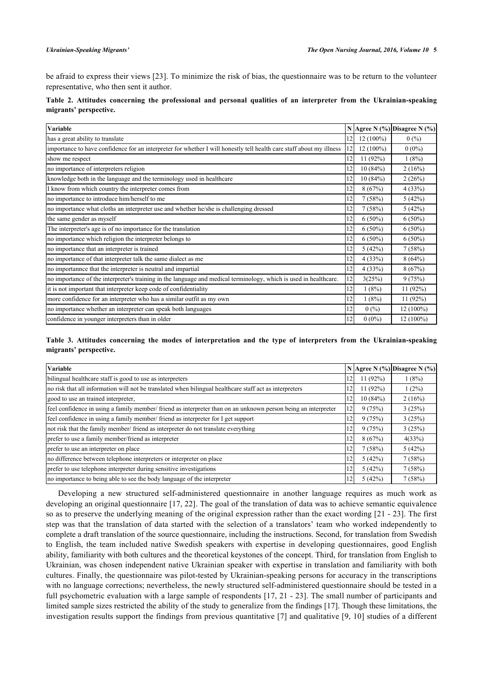be afraid to express their views [\[23\]](#page-6-8). To minimize the risk of bias, the questionnaire was to be return to the volunteer representative, who then sent it author.

|                        |  |  |  |  |  | Table 2. Attitudes concerning the professional and personal qualities of an interpreter from the Ukrainian-speaking |  |
|------------------------|--|--|--|--|--|---------------------------------------------------------------------------------------------------------------------|--|
| migrants' perspective. |  |  |  |  |  |                                                                                                                     |  |

| Variable                                                                                                             |    |             | N Agree N $(\%)$ Disagree N $(\%)$ |
|----------------------------------------------------------------------------------------------------------------------|----|-------------|------------------------------------|
| has a great ability to translate                                                                                     | 12 | $12(100\%)$ | 0(%)                               |
| importance to have confidence for an interpreter for whether I will honestly tell health care staff about my illness | 12 | $12(100\%)$ | $0(0\%)$                           |
| show me respect                                                                                                      | 12 | 11 $(92%)$  | 1(8%)                              |
| no importance of interpreters religion                                                                               | 12 | 10(84%)     | 2(16%)                             |
| knowledge both in the language and the terminology used in healthcare                                                | 12 | 10(84%)     | 2(26%)                             |
| I know from which country the interpreter comes from                                                                 | 12 | 8(67%)      | 4(33%)                             |
| no importance to introduce him/herself to me                                                                         | 12 | 7(58%)      | 5(42%)                             |
| no importance what cloths an interpreter use and whether he/she is challenging dressed                               | 12 | 7(58%)      | 5(42%)                             |
| the same gender as myself                                                                                            | 12 | $6(50\%)$   | $6(50\%)$                          |
| The interpreter's age is of no importance for the translation                                                        | 12 | $6(50\%)$   | $6(50\%)$                          |
| no importance which religion the interpreter belongs to                                                              | 12 | $6(50\%)$   | $6(50\%)$                          |
| no importance that an interpreter is trained                                                                         | 12 | 5(42%)      | 7(58%)                             |
| no importance of that interpreter talk the same dialect as me                                                        | 12 | 4(33%)      | 8(64%)                             |
| no importannee that the interpreter is neutral and impartial                                                         | 2  | 4(33%)      | 8(67%)                             |
| no importance of the interpreter's training in the language and medical terminology, which is used in healthcare.    | 12 | 3(25%)      | 9(75%)                             |
| it is not important that interpreter keep code of confidentiality                                                    | 12 | 1(8%)       | 11(92%)                            |
| more confidence for an interpreter who has a similar outfit as my own                                                | 12 | 1(8%)       | 11(92%)                            |
| no importance whether an interpreter can speak both languages                                                        | 12 | 0(%)        | $12(100\%)$                        |
| confidence in younger interpreters than in older                                                                     | 12 | $0(0\%)$    | $12(100\%)$                        |

## <span id="page-4-0"></span>**Table 3. Attitudes concerning the modes of interpretation and the type of interpreters from the Ukrainian-speaking migrants' perspective.**

| Variable                                                                                                      |    |         | N Agree N (%) Disagree N (%) |
|---------------------------------------------------------------------------------------------------------------|----|---------|------------------------------|
| bilingual healthcare staff is good to use as interpreters                                                     | 12 | 11(92%) | 1(8%)                        |
| no risk that all information will not be translated when bilingual healthcare staff act as interpreters       | 12 | 11(92%) | $1(2\%)$                     |
| good to use an trained interpreter,                                                                           | 12 | 10(84%) | 2(16%)                       |
| feel confidence in using a family member/friend as interpreter than on an unknown person being an interpreter | 12 | 9(75%)  | 3(25%)                       |
| feel confidence in using a family member/friend as interpreter for I get support                              | 12 | 9(75%)  | 3(25%)                       |
| not risk that the family member/ friend as interpreter do not translate everything                            | 12 | 9(75%)  | 3(25%)                       |
| prefer to use a family member/friend as interpreter                                                           | 12 | 8(67%)  | 4(33%)                       |
| prefer to use an interpreter on place                                                                         | 12 | 7(58%)  | 5(42%)                       |
| no difference between telephone interpreters or interpreter on place                                          | 12 | 5(42%)  | 7(58%)                       |
| prefer to use telephone interpreter during sensitive investigations                                           | 12 | 5(42%)  | 7(58%)                       |
| no importance to being able to see the body language of the interpreter                                       | 12 | 5(42%)  | 7(58%)                       |

Developing a new structured self-administered questionnaire in another language requires as much work as developing an original questionnaire [\[17](#page-6-4), [22\]](#page-6-17). The goal of the translation of data was to achieve semantic equivalence so as to preserve the underlying meaning of the original expression rather than the exact wording [[21](#page-6-7) - [23](#page-6-8)]. The first step was that the translation of data started with the selection of a translators' team who worked independently to complete a draft translation of the source questionnaire, including the instructions. Second, for translation from Swedish to English, the team included native Swedish speakers with expertise in developing questionnaires, good English ability, familiarity with both cultures and the theoretical keystones of the concept. Third, for translation from English to Ukrainian, was chosen independent native Ukrainian speaker with expertise in translation and familiarity with both cultures. Finally, the questionnaire was pilot-tested by Ukrainian-speaking persons for accuracy in the transcriptions with no language corrections; nevertheless, the newly structured self-administered questionnaire should be tested in a full psychometric evaluation with a large sample of respondents [[17,](#page-6-4) [21](#page-6-7) - [23](#page-6-8)]. The small number of participants and limited sample sizes restricted the ability of the study to generalize from the findings [\[17](#page-6-4)]. Though these limitations, the investigation results support the findings from previous quantitative [\[7](#page-5-6)] and qualitative [[9](#page-5-8)[, 10\]](#page-5-9) studies of a different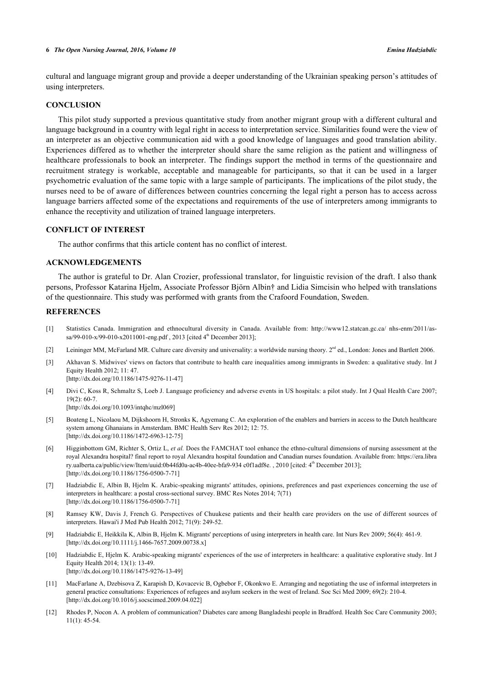#### **6** *The Open Nursing Journal, 2016, Volume 10 Emina Hadziabdic*

cultural and language migrant group and provide a deeper understanding of the Ukrainian speaking person's attitudes of using interpreters.

## **CONCLUSION**

This pilot study supported a previous quantitative study from another migrant group with a different cultural and language background in a country with legal right in access to interpretation service. Similarities found were the view of an interpreter as an objective communication aid with a good knowledge of languages and good translation ability. Experiences differed as to whether the interpreter should share the same religion as the patient and willingness of healthcare professionals to book an interpreter. The findings support the method in terms of the questionnaire and recruitment strategy is workable, acceptable and manageable for participants, so that it can be used in a larger psychometric evaluation of the same topic with a large sample of participants. The implications of the pilot study, the nurses need to be of aware of differences between countries concerning the legal right a person has to access across language barriers affected some of the expectations and requirements of the use of interpreters among immigrants to enhance the receptivity and utilization of trained language interpreters.

### **CONFLICT OF INTEREST**

The author confirms that this article content has no conflict of interest.

## **ACKNOWLEDGEMENTS**

The author is grateful to Dr. Alan Crozier, professional translator, for linguistic revision of the draft. I also thank persons, Professor Katarina Hjelm, Associate Professor Björn Albin† and Lidia Simcisin who helped with translations of the questionnaire. This study was performed with grants from the Crafoord Foundation, Sweden.

#### **REFERENCES**

- <span id="page-5-0"></span>[1] Statistics Canada. Immigration and ethnocultural diversity in Canada. Available from: [http://www12.statcan.gc.ca/ nhs-enm/2011/as](http://www12.statcan.gc.ca/nhs-enm/2011/as-sa/99-010-x/99-010-x2011001-eng.pdf)[sa/99-010-x/99-010-x2011001-eng.pdf](http://www12.statcan.gc.ca/nhs-enm/2011/as-sa/99-010-x/99-010-x2011001-eng.pdf), 2013 [cited  $4^{\text{th}}$  December 2013];
- <span id="page-5-1"></span>[2] Leininger MM, McFarland MR. Culture care diversity and universality: a worldwide nursing theory.  $2<sup>nd</sup>$  ed., London: Jones and Bartlett 2006.
- <span id="page-5-2"></span>[3] Akhavan S. Midwives' views on factors that contribute to health care inequalities among immigrants in Sweden: a qualitative study. Int J Equity Health 2012; 11: 47. [\[http://dx.doi.org/10.1186/1475-9276-11-47\]](http://dx.doi.org/10.1186/1475-9276-11-47)
- <span id="page-5-3"></span>[4] Divi C, Koss R, Schmaltz S, Loeb J. Language proficiency and adverse events in US hospitals: a pilot study. Int J Qual Health Care 2007;  $19(2)$ : 60-7

[\[http://dx.doi.org/10.1093/intqhc/mzl069](http://dx.doi.org/10.1093/intqhc/mzl069)]

- <span id="page-5-4"></span>[5] Boateng L, Nicolaou M, Dijkshoorn H, Stronks K, Agyemang C. An exploration of the enablers and barriers in access to the Dutch healthcare system among Ghanaians in Amsterdam. BMC Health Serv Res 2012; 12: 75. [\[http://dx.doi.org/10.1186/1472-6963-12-75\]](http://dx.doi.org/10.1186/1472-6963-12-75)
- <span id="page-5-5"></span>[6] Higginbottom GM, Richter S, Ortiz L, *et al.* Does the FAMCHAT tool enhance the ethno-cultural dimensions of nursing assessment at the royal Alexandra hospital? final report to royal Alexandra hospital foundation and Canadian nurses foundation. Available from: [https://era.libra](https://era.libra%20ry.ualberta.ca/public/view/Item/uuid:0b44fd0a-ac4b-40ee-bfa9-934%20c0f1adf8e) [ry.ualberta.ca/public/view/Item/uuid:0b44fd0a-ac4b-40ee-bfa9-934 c0f1adf8e](https://era.libra%20ry.ualberta.ca/public/view/Item/uuid:0b44fd0a-ac4b-40ee-bfa9-934%20c0f1adf8e). , 2010 [cited: 4th December 2013]; [\[http://dx.doi.org/10.1186/1756-0500-7-71\]](http://dx.doi.org/10.1186/1756-0500-7-71)
- <span id="page-5-6"></span>[7] Hadziabdic E, Albin B, Hjelm K. Arabic-speaking migrants' attitudes, opinions, preferences and past experiences concerning the use of interpreters in healthcare: a postal cross-sectional survey. BMC Res Notes 2014; 7(71) [\[http://dx.doi.org/10.1186/1756-0500-7-71\]](http://dx.doi.org/10.1186/1756-0500-7-71)
- <span id="page-5-7"></span>[8] Ramsey KW, Davis J, French G. Perspectives of Chuukese patients and their health care providers on the use of different sources of interpreters. Hawai'i J Med Pub Health 2012; 71(9): 249-52.
- <span id="page-5-8"></span>[9] Hadziabdic E, Heikkila K, Albin B, Hjelm K. Migrants' perceptions of using interpreters in health care. Int Nurs Rev 2009; 56(4): 461-9. [\[http://dx.doi.org/10.1111/j.1466-7657.2009.00738.x\]](http://dx.doi.org/10.1111/j.1466-7657.2009.00738.x)
- <span id="page-5-9"></span>[10] Hadziabdic E, Hjelm K. Arabic-speaking migrants' experiences of the use of interpreters in healthcare: a qualitative explorative study. Int J Equity Health 2014; 13(1): 13-49. [\[http://dx.doi.org/10.1186/1475-9276-13-49\]](http://dx.doi.org/10.1186/1475-9276-13-49)
- <span id="page-5-10"></span>[11] MacFarlane A, Dzebisova Z, Karapish D, Kovacevic B, Ogbebor F, Okonkwo E. Arranging and negotiating the use of informal interpreters in general practice consultations: Experiences of refugees and asylum seekers in the west of Ireland. Soc Sci Med 2009; 69(2): 210-4. [\[http://dx.doi.org/10.1016/j.socscimed.2009.04.022](http://dx.doi.org/10.1016/j.socscimed.2009.04.022)]
- <span id="page-5-11"></span>[12] Rhodes P, Nocon A. A problem of communication? Diabetes care among Bangladeshi people in Bradford. Health Soc Care Community 2003; 11(1): 45-54.